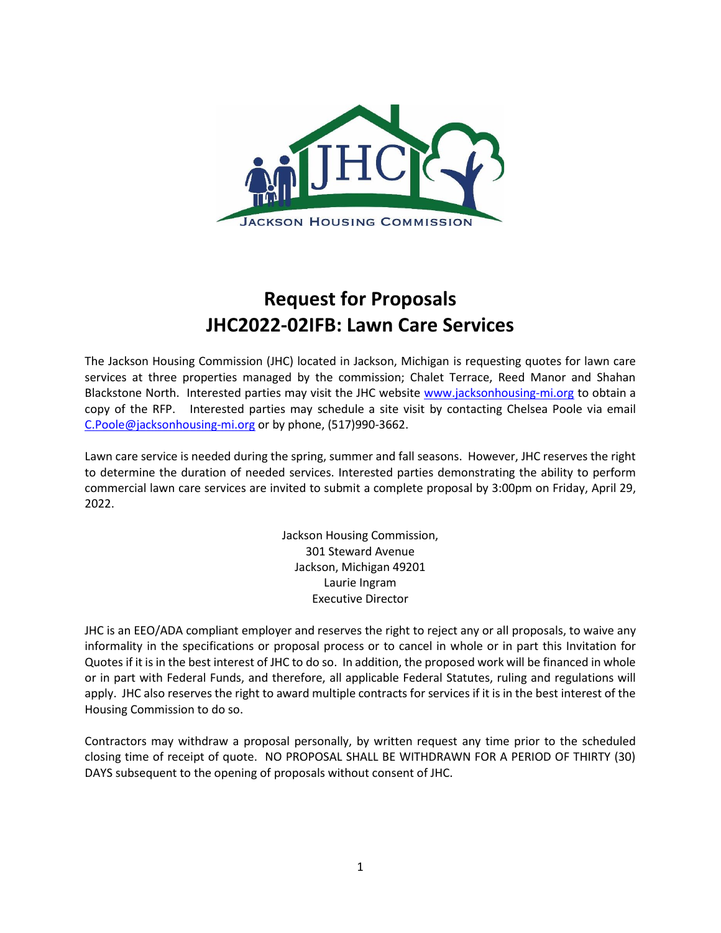

# **Request for Proposals JHC2022-02IFB: Lawn Care Services**

The Jackson Housing Commission (JHC) located in Jackson, Michigan is requesting quotes for lawn care services at three properties managed by the commission; Chalet Terrace, Reed Manor and Shahan Blackstone North. Interested parties may visit the JHC website [www.jacksonhousing-mi.org](http://www.jacksonhousing-mi.org/) to obtain a copy of the RFP. Interested parties may schedule a site visit by contacting Chelsea Poole via email [C.Poole@jacksonhousing-mi.org](mailto:C.Poole@jacksonhousing-mi.org) or by phone, (517)990-3662.

Lawn care service is needed during the spring, summer and fall seasons. However, JHC reserves the right to determine the duration of needed services. Interested parties demonstrating the ability to perform commercial lawn care services are invited to submit a complete proposal by 3:00pm on Friday, April 29, 2022.

> Jackson Housing Commission, 301 Steward Avenue Jackson, Michigan 49201 Laurie Ingram Executive Director

JHC is an EEO/ADA compliant employer and reserves the right to reject any or all proposals, to waive any informality in the specifications or proposal process or to cancel in whole or in part this Invitation for Quotes if it is in the best interest of JHC to do so. In addition, the proposed work will be financed in whole or in part with Federal Funds, and therefore, all applicable Federal Statutes, ruling and regulations will apply. JHC also reserves the right to award multiple contracts for services if it is in the best interest of the Housing Commission to do so.

Contractors may withdraw a proposal personally, by written request any time prior to the scheduled closing time of receipt of quote. NO PROPOSAL SHALL BE WITHDRAWN FOR A PERIOD OF THIRTY (30) DAYS subsequent to the opening of proposals without consent of JHC.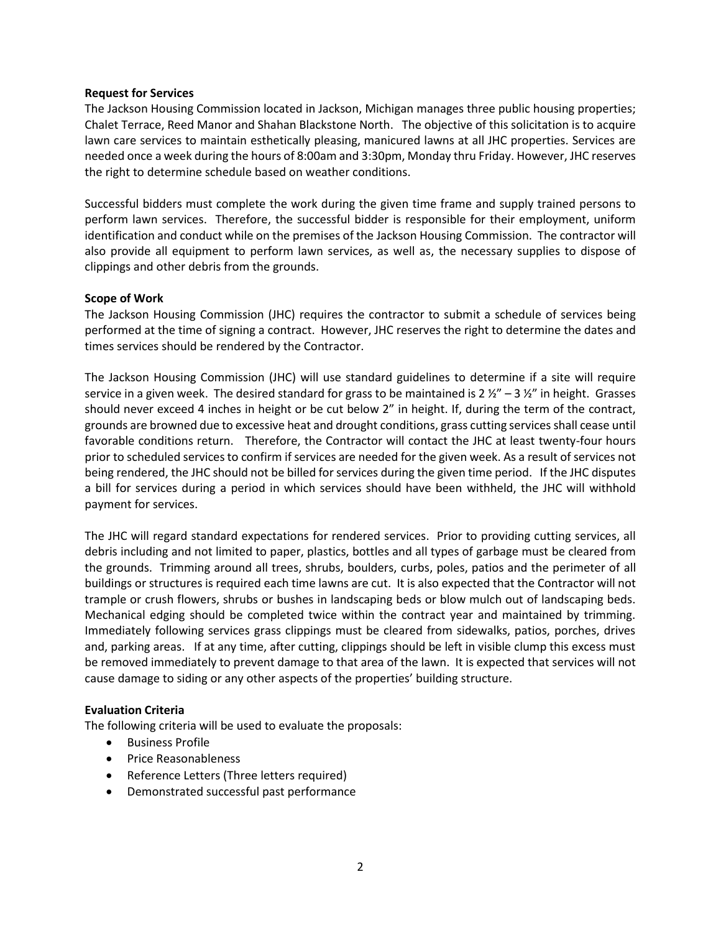#### **Request for Services**

The Jackson Housing Commission located in Jackson, Michigan manages three public housing properties; Chalet Terrace, Reed Manor and Shahan Blackstone North. The objective of this solicitation is to acquire lawn care services to maintain esthetically pleasing, manicured lawns at all JHC properties. Services are needed once a week during the hours of 8:00am and 3:30pm, Monday thru Friday. However, JHC reserves the right to determine schedule based on weather conditions.

Successful bidders must complete the work during the given time frame and supply trained persons to perform lawn services. Therefore, the successful bidder is responsible for their employment, uniform identification and conduct while on the premises of the Jackson Housing Commission. The contractor will also provide all equipment to perform lawn services, as well as, the necessary supplies to dispose of clippings and other debris from the grounds.

#### **Scope of Work**

The Jackson Housing Commission (JHC) requires the contractor to submit a schedule of services being performed at the time of signing a contract. However, JHC reserves the right to determine the dates and times services should be rendered by the Contractor.

The Jackson Housing Commission (JHC) will use standard guidelines to determine if a site will require service in a given week. The desired standard for grass to be maintained is  $2 \frac{1}{2}$  – 3  $\frac{1}{2}$  in height. Grasses should never exceed 4 inches in height or be cut below 2" in height. If, during the term of the contract, grounds are browned due to excessive heat and drought conditions, grass cutting services shall cease until favorable conditions return. Therefore, the Contractor will contact the JHC at least twenty-four hours prior to scheduled services to confirm if services are needed for the given week. As a result of services not being rendered, the JHC should not be billed for services during the given time period. If the JHC disputes a bill for services during a period in which services should have been withheld, the JHC will withhold payment for services.

The JHC will regard standard expectations for rendered services. Prior to providing cutting services, all debris including and not limited to paper, plastics, bottles and all types of garbage must be cleared from the grounds. Trimming around all trees, shrubs, boulders, curbs, poles, patios and the perimeter of all buildings or structures is required each time lawns are cut. It is also expected that the Contractor will not trample or crush flowers, shrubs or bushes in landscaping beds or blow mulch out of landscaping beds. Mechanical edging should be completed twice within the contract year and maintained by trimming. Immediately following services grass clippings must be cleared from sidewalks, patios, porches, drives and, parking areas. If at any time, after cutting, clippings should be left in visible clump this excess must be removed immediately to prevent damage to that area of the lawn. It is expected that services will not cause damage to siding or any other aspects of the properties' building structure.

## **Evaluation Criteria**

The following criteria will be used to evaluate the proposals:

- Business Profile
- Price Reasonableness
- Reference Letters (Three letters required)
- Demonstrated successful past performance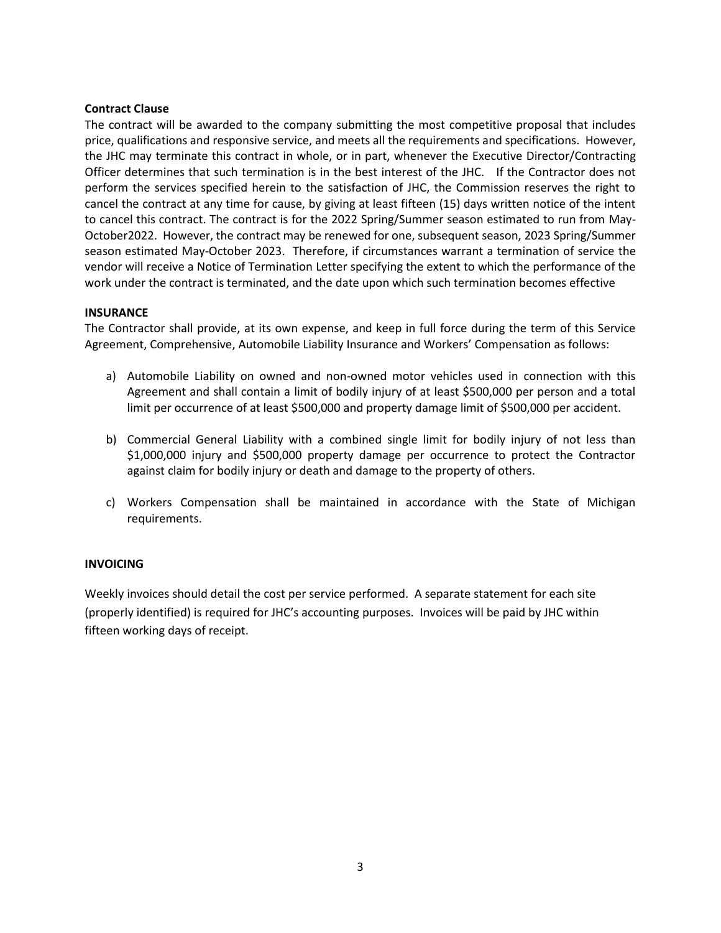## **Contract Clause**

The contract will be awarded to the company submitting the most competitive proposal that includes price, qualifications and responsive service, and meets all the requirements and specifications. However, the JHC may terminate this contract in whole, or in part, whenever the Executive Director/Contracting Officer determines that such termination is in the best interest of the JHC. If the Contractor does not perform the services specified herein to the satisfaction of JHC, the Commission reserves the right to cancel the contract at any time for cause, by giving at least fifteen (15) days written notice of the intent to cancel this contract. The contract is for the 2022 Spring/Summer season estimated to run from May-October2022. However, the contract may be renewed for one, subsequent season, 2023 Spring/Summer season estimated May-October 2023. Therefore, if circumstances warrant a termination of service the vendor will receive a Notice of Termination Letter specifying the extent to which the performance of the work under the contract is terminated, and the date upon which such termination becomes effective

#### **INSURANCE**

The Contractor shall provide, at its own expense, and keep in full force during the term of this Service Agreement, Comprehensive, Automobile Liability Insurance and Workers' Compensation as follows:

- a) Automobile Liability on owned and non-owned motor vehicles used in connection with this Agreement and shall contain a limit of bodily injury of at least \$500,000 per person and a total limit per occurrence of at least \$500,000 and property damage limit of \$500,000 per accident.
- b) Commercial General Liability with a combined single limit for bodily injury of not less than \$1,000,000 injury and \$500,000 property damage per occurrence to protect the Contractor against claim for bodily injury or death and damage to the property of others.
- c) Workers Compensation shall be maintained in accordance with the State of Michigan requirements.

## **INVOICING**

Weekly invoices should detail the cost per service performed. A separate statement for each site (properly identified) is required for JHC's accounting purposes. Invoices will be paid by JHC within fifteen working days of receipt.